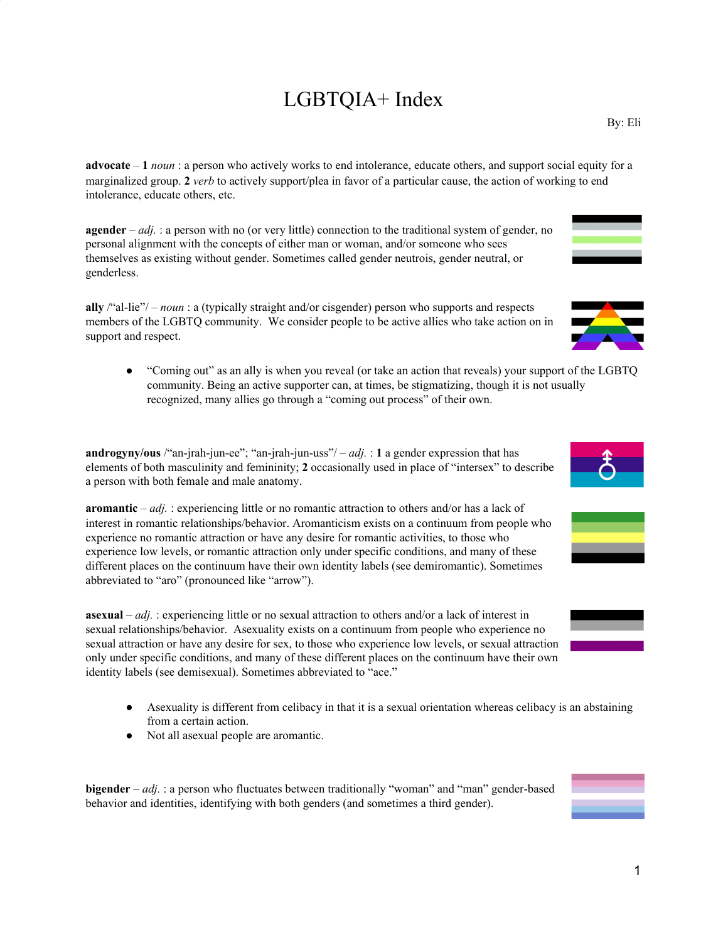## LGBTQIA+ Index

**advocate** – **1** *noun* : a person who actively works to end intolerance, educate others, and support social equity for a marginalized group. **2** *verb* to actively support/plea in favor of a particular cause, the action of working to end intolerance, educate others, etc.

**agender** – *adj.* : a person with no (or very little) connection to the traditional system of gender, no personal alignment with the concepts of either man or woman, and/or someone who sees themselves as existing without gender. Sometimes called gender neutrois, gender neutral, or genderless.

**ally** /"al-lie"/ – *noun* : a (typically straight and/or cisgender) person who supports and respects members of the LGBTQ community. We consider people to be active allies who take action on in support and respect.

● "Coming out" as an ally is when you reveal (or take an action that reveals) your support of the LGBTQ community. Being an active supporter can, at times, be stigmatizing, though it is not usually recognized, many allies go through a "coming out process" of their own.

**androgyny/ous** /"an-jrah-jun-ee"; "an-jrah-jun-uss"/ $- adj$ . : **1** a gender expression that has elements of both masculinity and femininity; **2** occasionally used in place of "intersex" to describe a person with both female and male anatomy.

**aromantic** – *adj.* : experiencing little or no romantic attraction to others and/or has a lack of interest in romantic relationships/behavior. Aromanticism exists on a continuum from people who experience no romantic attraction or have any desire for romantic activities, to those who experience low levels, or romantic attraction only under specific conditions, and many of these different places on the continuum have their own identity labels (see demiromantic). Sometimes abbreviated to "aro" (pronounced like "arrow").

**asexual** – *adj.* : experiencing little or no sexual attraction to others and/or a lack of interest in sexual relationships/behavior. Asexuality exists on a continuum from people who experience no sexual attraction or have any desire for sex, to those who experience low levels, or sexual attraction only under specific conditions, and many of these different places on the continuum have their own identity labels (see demisexual). Sometimes abbreviated to "ace."

- Asexuality is different from celibacy in that it is a sexual orientation whereas celibacy is an abstaining from a certain action.
- Not all asexual people are aromantic.

**bigender** – *adj.* : a person who fluctuates between traditionally "woman" and "man" gender-based behavior and identities, identifying with both genders (and sometimes a third gender).



By: Eli





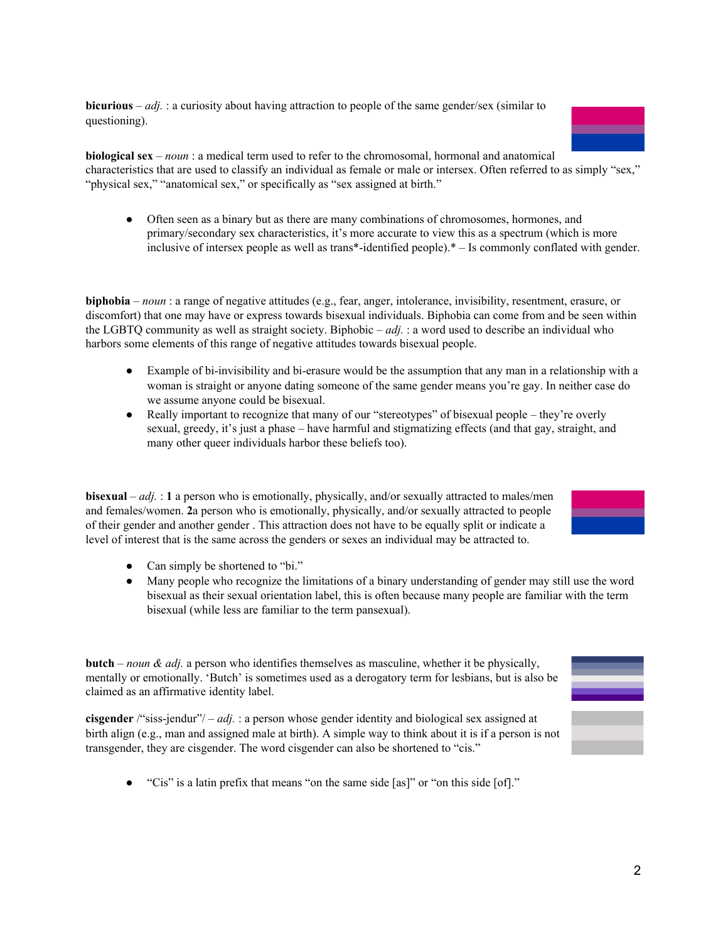**bicurious** – *adj.* : a curiosity about having attraction to people of the same gender/sex (similar to questioning).

**biological sex** – *noun* : a medical term used to refer to the chromosomal, hormonal and anatomical characteristics that are used to classify an individual as female or male or intersex. Often referred to as simply "sex," "physical sex," "anatomical sex," or specifically as "sex assigned at birth."

● Often seen as a binary but as there are many combinations of chromosomes, hormones, and primary/secondary sex characteristics, it's more accurate to view this as a spectrum (which is more inclusive of intersex people as well as trans\*-identified people).\* – Is commonly conflated with gender.

**biphobia** – *noun* : a range of negative attitudes (e.g., fear, anger, intolerance, invisibility, resentment, erasure, or discomfort) that one may have or express towards bisexual individuals. Biphobia can come from and be seen within the LGBTQ community as well as straight society. Biphobic – *adj.* : a word used to describe an individual who harbors some elements of this range of negative attitudes towards bisexual people.

- Example of bi-invisibility and bi-erasure would be the assumption that any man in a relationship with a woman is straight or anyone dating someone of the same gender means you're gay. In neither case do we assume anyone could be bisexual.
- Really important to recognize that many of our "stereotypes" of bisexual people they're overly sexual, greedy, it's just a phase – have harmful and stigmatizing effects (and that gay, straight, and many other queer individuals harbor these beliefs too).

**bisexual** – *adj.* : 1 a person who is emotionally, physically, and/or sexually attracted to males/men and females/women. **2**a person who is emotionally, physically, and/or sexually attracted to people of their gender and another gender . This attraction does not have to be equally split or indicate a level of interest that is the same across the genders or sexes an individual may be attracted to.

- Can simply be shortened to "bi."
- Many people who recognize the limitations of a binary understanding of gender may still use the word bisexual as their sexual orientation label, this is often because many people are familiar with the term bisexual (while less are familiar to the term pansexual).

**butch** – *noun & adj.* a person who identifies themselves as masculine, whether it be physically, mentally or emotionally. 'Butch' is sometimes used as a derogatory term for lesbians, but is also be claimed as an affirmative identity label.

**cisgender** /"siss-jendur"/ – *adj.* : a person whose gender identity and biological sex assigned at birth align (e.g., man and assigned male at birth). A simple way to think about it is if a person is not transgender, they are cisgender. The word cisgender can also be shortened to "cis."

- 
- "Cis" is a latin prefix that means "on the same side [as]" or "on this side [of]."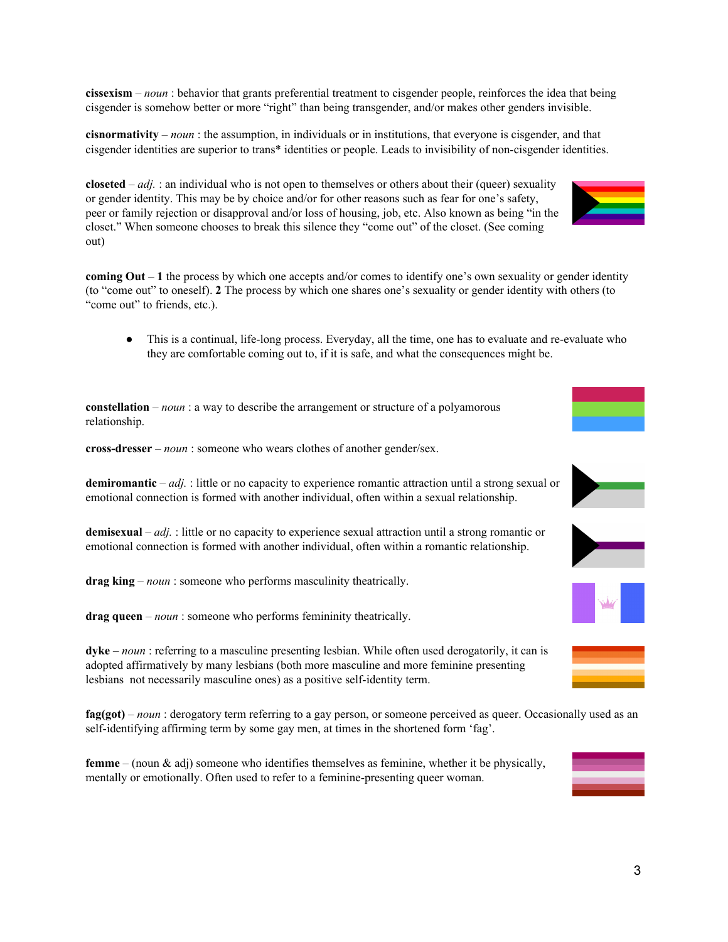**cissexism** – *noun* : behavior that grants preferential treatment to cisgender people, reinforces the idea that being cisgender is somehow better or more "right" than being transgender, and/or makes other genders invisible.

**cisnormativity** – *noun* : the assumption, in individuals or in institutions, that everyone is cisgender, and that cisgender identities are superior to trans\* identities or people. Leads to invisibility of non-cisgender identities.

**closeted** –  $adj.$  : an individual who is not open to themselves or others about their (queer) sexuality or gender identity. This may be by choice and/or for other reasons such as fear for one's safety, peer or family rejection or disapproval and/or loss of housing, job, etc. Also known as being "in the closet." When someone chooses to break this silence they "come out" of the closet. (See coming out)

**coming Out** – **1** the process by which one accepts and/or comes to identify one's own sexuality or gender identity (to "come out" to oneself). **2** The process by which one shares one's sexuality or gender identity with others (to "come out" to friends, etc.).

● This is a continual, life-long process. Everyday, all the time, one has to evaluate and re-evaluate who they are comfortable coming out to, if it is safe, and what the consequences might be.

**constellation** – *noun* : a way to describe the arrangement or structure of a polyamorous relationship.

**cross-dresser** – *noun* : someone who wears clothes of another gender/sex.

**demiromantic** – *adj.* : little or no capacity to experience romantic attraction until a strong sexual or emotional connection is formed with another individual, often within a sexual relationship.

**demisexual** – *adj.* : little or no capacity to experience sexual attraction until a strong romantic or emotional connection is formed with another individual, often within a romantic relationship.

**drag king** – *noun* : someone who performs masculinity theatrically.

**drag queen** – *noun* : someone who performs femininity theatrically.

**dyke** – *noun* : referring to a masculine presenting lesbian. While often used derogatorily, it can is adopted affirmatively by many lesbians (both more masculine and more feminine presenting lesbians not necessarily masculine ones) as a positive self-identity term.

**fag(got)** – *noun* : derogatory term referring to a gay person, or someone perceived as queer. Occasionally used as an self-identifying affirming term by some gay men, at times in the shortened form 'fag'.

**femme** – (noun & adj) someone who identifies themselves as feminine, whether it be physically, mentally or emotionally. Often used to refer to a feminine-presenting queer woman.











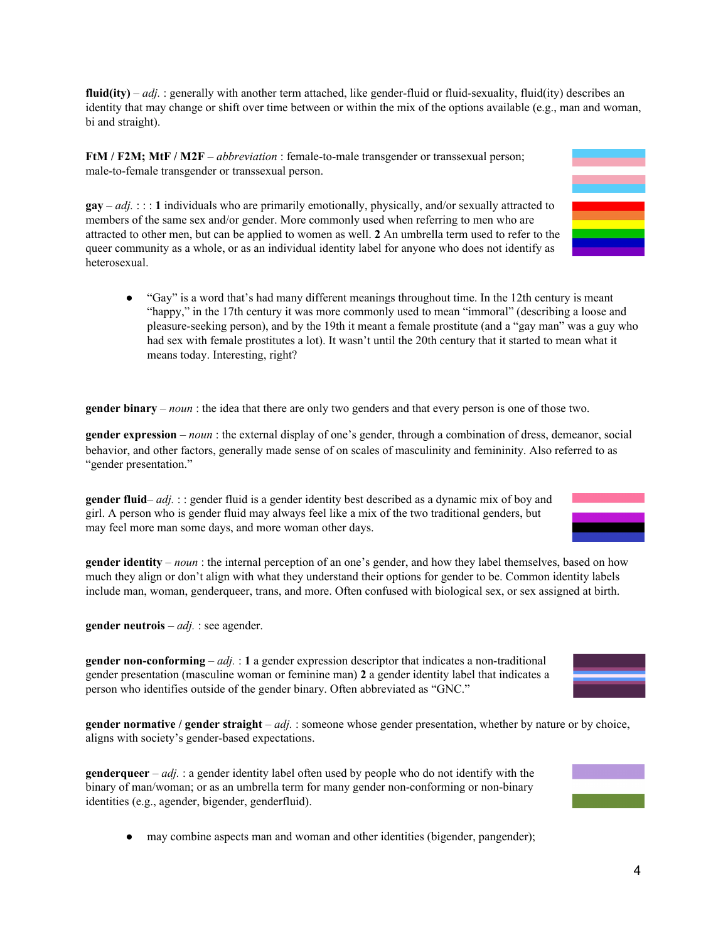**fluid(ity)** –  $adj.$  generally with another term attached, like gender-fluid or fluid-sexuality, fluid(ity) describes an identity that may change or shift over time between or within the mix of the options available (e.g., man and woman, bi and straight).

**FtM / F2M; MtF / M2F** – *abbreviation* : female-to-male transgender or transsexual person; male-to-female transgender or transsexual person.

**gay** –  $adj.$  : : : 1 individuals who are primarily emotionally, physically, and/or sexually attracted to members of the same sex and/or gender. More commonly used when referring to men who are attracted to other men, but can be applied to women as well. **2** An umbrella term used to refer to the queer community as a whole, or as an individual identity label for anyone who does not identify as heterosexual.

● "Gay" is a word that's had many different meanings throughout time. In the 12th century is meant "happy," in the 17th century it was more commonly used to mean "immoral" (describing a loose and pleasure-seeking person), and by the 19th it meant a female prostitute (and a "gay man" was a guy who had sex with female prostitutes a lot). It wasn't until the 20th century that it started to mean what it means today. Interesting, right?

**gender binary** – *noun* : the idea that there are only two genders and that every person is one of those two.

**gender expression** – *noun* : the external display of one's gender, through a combination of dress, demeanor, social behavior, and other factors, generally made sense of on scales of masculinity and femininity. Also referred to as "gender presentation."

**gender fluid**– *adj.* :: gender fluid is a gender identity best described as a dynamic mix of boy and girl. A person who is gender fluid may always feel like a mix of the two traditional genders, but may feel more man some days, and more woman other days.

**gender identity** – *noun* : the internal perception of an one's gender, and how they label themselves, based on how much they align or don't align with what they understand their options for gender to be. Common identity labels include man, woman, genderqueer, trans, and more. Often confused with biological sex, or sex assigned at birth.

**gender neutrois** – *adj.* : see agender.

**gender non-conforming** – *adj.* : **1** a gender expression descriptor that indicates a non-traditional gender presentation (masculine woman or feminine man) **2** a gender identity label that indicates a person who identifies outside of the gender binary. Often abbreviated as "GNC."

**gender normative / gender straight** – *adj.* : someone whose gender presentation, whether by nature or by choice, aligns with society's gender-based expectations.

**genderqueer** – *adj.* : a gender identity label often used by people who do not identify with the binary of man/woman; or as an umbrella term for many gender non-conforming or non-binary identities (e.g., agender, bigender, genderfluid).

• may combine aspects man and woman and other identities (bigender, pangender);









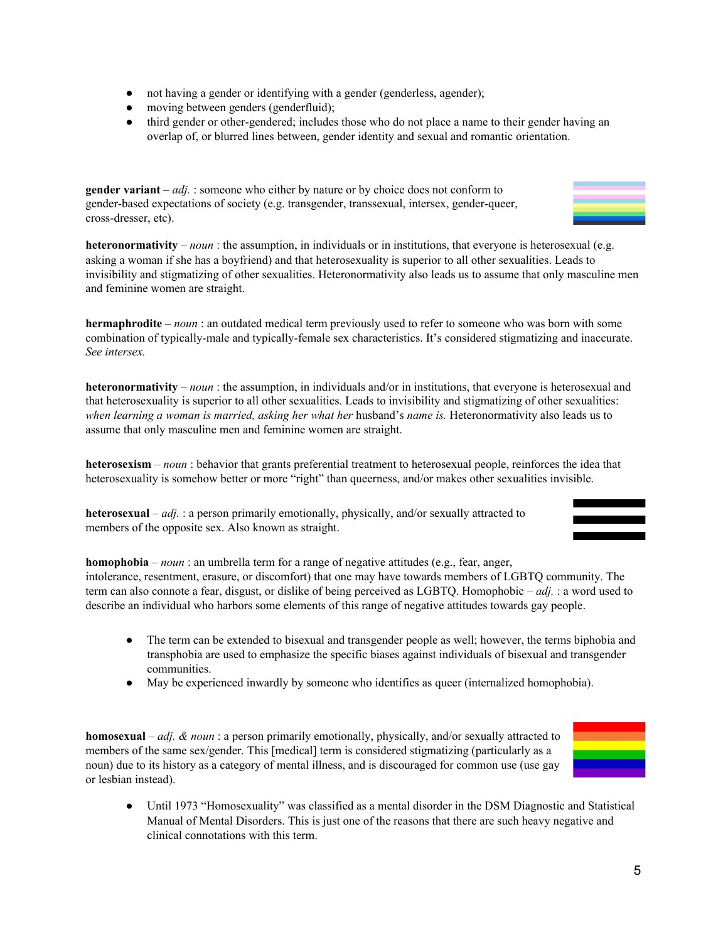- not having a gender or identifying with a gender (genderless, agender);
- moving between genders (genderfluid);
- third gender or other-gendered; includes those who do not place a name to their gender having an overlap of, or blurred lines between, gender identity and sexual and romantic orientation.

**gender variant** – *adj.* : someone who either by nature or by choice does not conform to gender-based expectations of society (e.g. transgender, transsexual, intersex, gender-queer, cross-dresser, etc).

**heteronormativity** – *noun* : the assumption, in individuals or in institutions, that everyone is heterosexual (e.g. asking a woman if she has a boyfriend) and that heterosexuality is superior to all other sexualities. Leads to invisibility and stigmatizing of other sexualities. Heteronormativity also leads us to assume that only masculine men and feminine women are straight.

**hermaphrodite** – *noun* : an outdated medical term previously used to refer to someone who was born with some combination of typically-male and typically-female sex characteristics. It's considered stigmatizing and inaccurate. *See intersex.*

**heteronormativity** – *noun* : the assumption, in individuals and/or in institutions, that everyone is heterosexual and that heterosexuality is superior to all other sexualities. Leads to invisibility and stigmatizing of other sexualities: *when learning a woman is married, asking her what her* husband's *name is.* Heteronormativity also leads us to assume that only masculine men and feminine women are straight.

**heterosexism** – *noun* : behavior that grants preferential treatment to heterosexual people, reinforces the idea that heterosexuality is somehow better or more "right" than queerness, and/or makes other sexualities invisible.

**heterosexual** – *adj.* : a person primarily emotionally, physically, and/or sexually attracted to members of the opposite sex. Also known as straight.

**homophobia** – *noun* : an umbrella term for a range of negative attitudes (e.g., fear, anger, intolerance, resentment, erasure, or discomfort) that one may have towards members of LGBTQ community. The term can also connote a fear, disgust, or dislike of being perceived as LGBTQ. Homophobic – *adj.* : a word used to describe an individual who harbors some elements of this range of negative attitudes towards gay people.

- The term can be extended to bisexual and transgender people as well; however, the terms biphobia and transphobia are used to emphasize the specific biases against individuals of bisexual and transgender communities.
- May be experienced inwardly by someone who identifies as queer (internalized homophobia).

**homosexual** – *adj. & noun* : a person primarily emotionally, physically, and/or sexually attracted to members of the same sex/gender. This [medical] term is considered stigmatizing (particularly as a noun) due to its history as a category of mental illness, and is discouraged for common use (use gay or lesbian instead).

● Until 1973 "Homosexuality" was classified as a mental disorder in the DSM Diagnostic and Statistical Manual of Mental Disorders. This is just one of the reasons that there are such heavy negative and clinical connotations with this term.

5





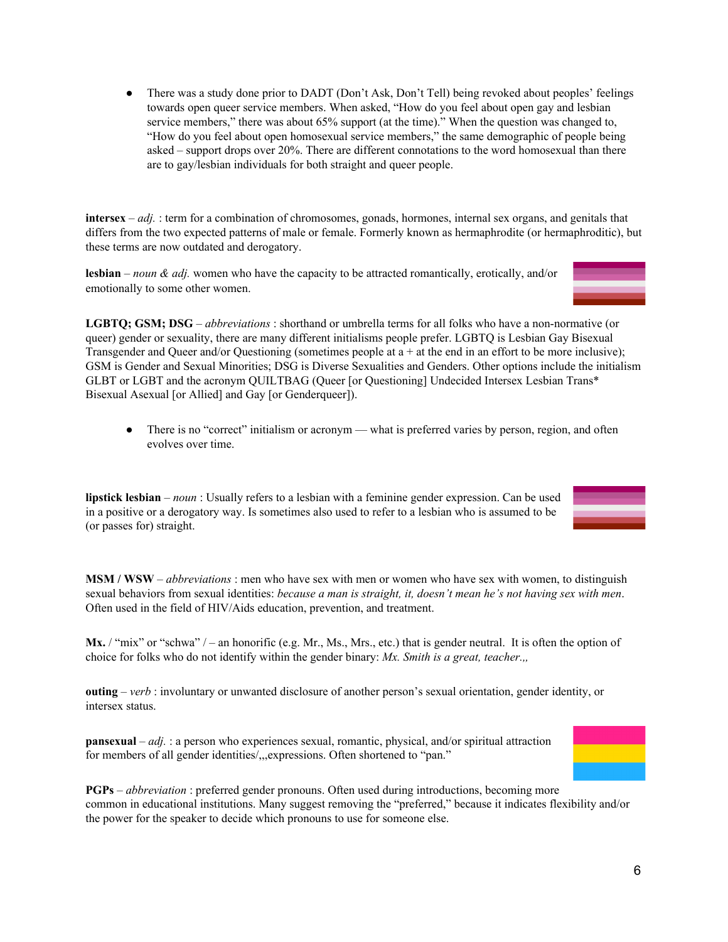• There was a study done prior to DADT (Don't Ask, Don't Tell) being revoked about peoples' feelings towards open queer service members. When asked, "How do you feel about open gay and lesbian service members," there was about 65% support (at the time)." When the question was changed to, "How do you feel about open homosexual service members," the same demographic of people being asked – support drops over 20%. There are different connotations to the word homosexual than there are to gay/lesbian individuals for both straight and queer people.

**intersex** – *adj.* : term for a combination of chromosomes, gonads, hormones, internal sex organs, and genitals that differs from the two expected patterns of male or female. Formerly known as hermaphrodite (or hermaphroditic), but these terms are now outdated and derogatory.

**lesbian** – *noun & adj.* women who have the capacity to be attracted romantically, erotically, and/or emotionally to some other women.

**LGBTQ; GSM; DSG** – *abbreviations* : shorthand or umbrella terms for all folks who have a non-normative (or queer) gender or sexuality, there are many different initialisms people prefer. LGBTQ is Lesbian Gay Bisexual Transgender and Queer and/or Questioning (sometimes people at  $a + at$  the end in an effort to be more inclusive); GSM is Gender and Sexual Minorities; DSG is Diverse Sexualities and Genders. Other options include the initialism GLBT or LGBT and the acronym QUILTBAG (Queer [or Questioning] Undecided Intersex Lesbian Trans\* Bisexual Asexual [or Allied] and Gay [or Genderqueer]).

• There is no "correct" initialism or acronym — what is preferred varies by person, region, and often evolves over time.

**lipstick lesbian** – *noun* : Usually refers to a lesbian with a feminine gender expression. Can be used in a positive or a derogatory way. Is sometimes also used to refer to a lesbian who is assumed to be (or passes for) straight.



**MSM / WSW** – *abbreviations* : men who have sex with men or women who have sex with women, to distinguish sexual behaviors from sexual identities: *because a man is straight, it, doesn't mean he's not having sex with men*. Often used in the field of HIV/Aids education, prevention, and treatment.

Mx. / "mix" or "schwa" / – an honorific (e.g. Mr., Ms., Mrs., etc.) that is gender neutral. It is often the option of choice for folks who do not identify within the gender binary: *Mx. Smith is a great, teacher.,,*

**outing** – *verb* : involuntary or unwanted disclosure of another person's sexual orientation, gender identity, or intersex status.

**pansexual** – *adj.* : a person who experiences sexual, romantic, physical, and/or spiritual attraction for members of all gender identities/,,,expressions. Often shortened to "pan."



**PGPs** – *abbreviation* : preferred gender pronouns. Often used during introductions, becoming more common in educational institutions. Many suggest removing the "preferred," because it indicates flexibility and/or the power for the speaker to decide which pronouns to use for someone else.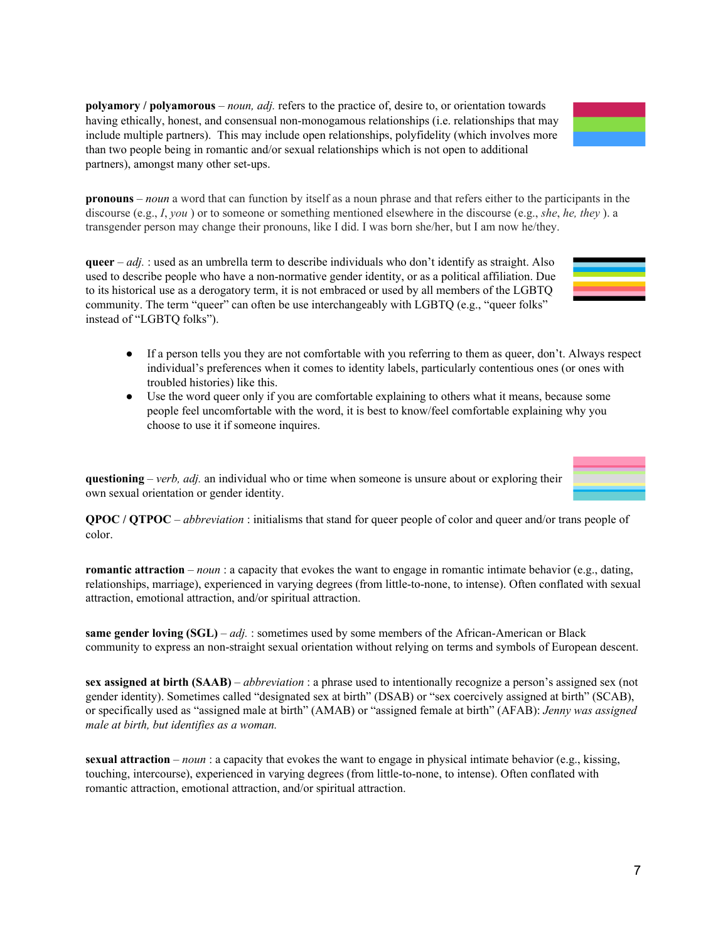**polyamory / polyamorous** – *noun, adj.* refers to the practice of, desire to, or orientation towards having ethically, honest, and consensual non-monogamous relationships (i.e. relationships that may include multiple partners). This may include open relationships, polyfidelity (which involves more than two people being in romantic and/or sexual relationships which is not open to additional partners), amongst many other set-ups.

**pronouns** – *noun* a word that can function by itself as a noun phrase and that refers either to the participants in the discourse (e.g., *I*, *you* ) or to someone or something mentioned elsewhere in the discourse (e.g., *she*, *he, they* ). a transgender person may change their pronouns, like I did. I was born she/her, but I am now he/they.

**queer** – *adj.* : used as an umbrella term to describe individuals who don't identify as straight. Also used to describe people who have a non-normative gender identity, or as a political affiliation. Due to its historical use as a derogatory term, it is not embraced or used by all members of the LGBTQ community. The term "queer" can often be use interchangeably with LGBTQ (e.g., "queer folks" instead of "LGBTQ folks").

- If a person tells you they are not comfortable with you referring to them as queer, don't. Always respect individual's preferences when it comes to identity labels, particularly contentious ones (or ones with troubled histories) like this.
- Use the word queer only if you are comfortable explaining to others what it means, because some people feel uncomfortable with the word, it is best to know/feel comfortable explaining why you choose to use it if someone inquires.

**questioning** – *verb, adj.* an individual who or time when someone is unsure about or exploring their own sexual orientation or gender identity.

**QPOC / QTPOC** – *abbreviation* : initialisms that stand for queer people of color and queer and/or trans people of color.

**romantic attraction** – *noun* : a capacity that evokes the want to engage in romantic intimate behavior (e.g., dating, relationships, marriage), experienced in varying degrees (from little-to-none, to intense). Often conflated with sexual attraction, emotional attraction, and/or spiritual attraction.

**same gender loving (SGL)** – *adj.* : sometimes used by some members of the African-American or Black community to express an non-straight sexual orientation without relying on terms and symbols of European descent.

**sex assigned at birth (SAAB)** – *abbreviation* : a phrase used to intentionally recognize a person's assigned sex (not gender identity). Sometimes called "designated sex at birth" (DSAB) or "sex coercively assigned at birth" (SCAB), or specifically used as "assigned male at birth" (AMAB) or "assigned female at birth" (AFAB): *Jenny was assigned male at birth, but identifies as a woman.*

**sexual attraction** – *noun* : a capacity that evokes the want to engage in physical intimate behavior (e.g., kissing, touching, intercourse), experienced in varying degrees (from little-to-none, to intense). Often conflated with romantic attraction, emotional attraction, and/or spiritual attraction.





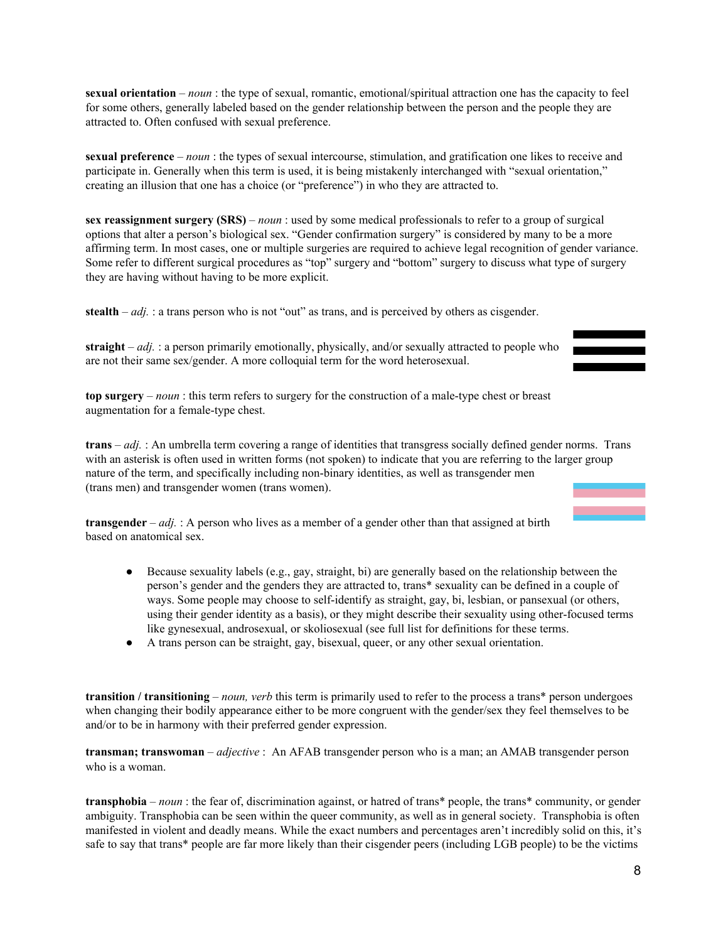**sexual orientation** – *noun* : the type of sexual, romantic, emotional/spiritual attraction one has the capacity to feel for some others, generally labeled based on the gender relationship between the person and the people they are attracted to. Often confused with sexual preference.

**sexual preference** – *noun* : the types of sexual intercourse, stimulation, and gratification one likes to receive and participate in. Generally when this term is used, it is being mistakenly interchanged with "sexual orientation," creating an illusion that one has a choice (or "preference") in who they are attracted to.

**sex reassignment surgery (SRS)** – *noun* : used by some medical professionals to refer to a group of surgical options that alter a person's biological sex. "Gender confirmation surgery" is considered by many to be a more affirming term. In most cases, one or multiple surgeries are required to achieve legal recognition of gender variance. Some refer to different surgical procedures as "top" surgery and "bottom" surgery to discuss what type of surgery they are having without having to be more explicit.

**stealth** – *adj.* : a trans person who is not "out" as trans, and is perceived by others as cisgender.

**straight** – *adj.* : a person primarily emotionally, physically, and/or sexually attracted to people who are not their same sex/gender. A more colloquial term for the word heterosexual.

**top surgery** – *noun* : this term refers to surgery for the construction of a male-type chest or breast augmentation for a female-type chest.

**trans** – *adj.* : An umbrella term covering a range of identities that transgress socially defined gender norms. Trans with an asterisk is often used in written forms (not spoken) to indicate that you are referring to the larger group nature of the term, and specifically including non-binary identities, as well as transgender men (trans men) and transgender women (trans women).

**transgender** – *adj.* : A person who lives as a member of a gender other than that assigned at birth based on anatomical sex.

- Because sexuality labels (e.g., gay, straight, bi) are generally based on the relationship between the person's gender and the genders they are attracted to, trans\* sexuality can be defined in a couple of ways. Some people may choose to self-identify as straight, gay, bi, lesbian, or pansexual (or others, using their gender identity as a basis), or they might describe their sexuality using other-focused terms like gynesexual, androsexual, or skoliosexual (see full list for definitions for these terms.
- A trans person can be straight, gay, bisexual, queer, or any other sexual orientation.

**transition / transitioning** – *noun, verb* this term is primarily used to refer to the process a trans\* person undergoes when changing their bodily appearance either to be more congruent with the gender/sex they feel themselves to be and/or to be in harmony with their preferred gender expression.

**transman; transwoman** – *adjective* : An AFAB transgender person who is a man; an AMAB transgender person who is a woman.

**transphobia** – *noun* : the fear of, discrimination against, or hatred of trans\* people, the trans\* community, or gender ambiguity. Transphobia can be seen within the queer community, as well as in general society. Transphobia is often manifested in violent and deadly means. While the exact numbers and percentages aren't incredibly solid on this, it's safe to say that trans\* people are far more likely than their cisgender peers (including LGB people) to be the victims